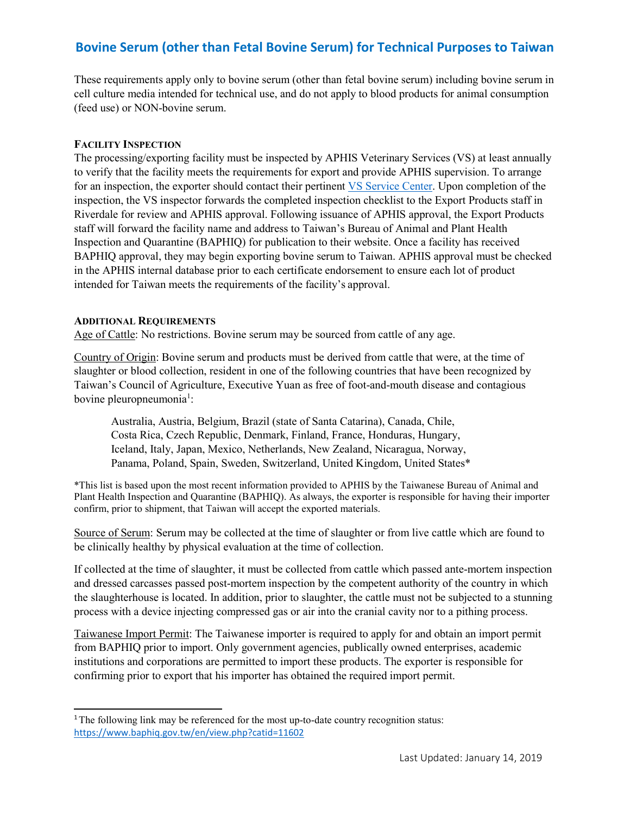# **Bovine Serum (other than Fetal Bovine Serum) for Technical Purposes to Taiwan**

These requirements apply only to bovine serum (other than fetal bovine serum) including bovine serum in cell culture media intended for technical use, and do not apply to blood products for animal consumption (feed use) or NON-bovine serum.

## **FACILITY INSPECTION**

The processing/exporting facility must be inspected by APHIS Veterinary Services (VS) at least annually to verify that the facility meets the requirements for export and provide APHIS supervision. To arrange for an inspection, the exporter should contact their pertinent [VS Service Center.](https://www.aphis.usda.gov/animal_health/downloads/nies_contacts/sc.pdf) Upon completion of the inspection, the VS inspector forwards the completed inspection checklist to the Export Products staff in Riverdale for review and APHIS approval. Following issuance of APHIS approval, the Export Products staff will forward the facility name and address to Taiwan's Bureau of Animal and Plant Health Inspection and Quarantine (BAPHIQ) for publication to their website. Once a facility has received BAPHIQ approval, they may begin exporting bovine serum to Taiwan. APHIS approval must be checked in the APHIS internal database prior to each certificate endorsement to ensure each lot of product intended for Taiwan meets the requirements of the facility's approval.

## **ADDITIONAL REQUIREMENTS**

Age of Cattle: No restrictions. Bovine serum may be sourced from cattle of any age.

Country of Origin: Bovine serum and products must be derived from cattle that were, at the time of slaughter or blood collection, resident in one of the following countries that have been recognized by Taiwan's Council of Agriculture, Executive Yuan as free of foot-and-mouth disease and contagious bovine pleuropneumonia<sup>1</sup>:

Australia, Austria, Belgium, Brazil (state of Santa Catarina), Canada, Chile, Costa Rica, Czech Republic, Denmark, Finland, France, Honduras, Hungary, Iceland, Italy, Japan, Mexico, Netherlands, New Zealand, Nicaragua, Norway, Panama, Poland, Spain, Sweden, Switzerland, United Kingdom, United States\*

\*This list is based upon the most recent information provided to APHIS by the Taiwanese Bureau of Animal and Plant Health Inspection and Quarantine (BAPHIQ). As always, the exporter is responsible for having their importer confirm, prior to shipment, that Taiwan will accept the exported materials.

Source of Serum: Serum may be collected at the time of slaughter or from live cattle which are found to be clinically healthy by physical evaluation at the time of collection.

If collected at the time of slaughter, it must be collected from cattle which passed ante-mortem inspection and dressed carcasses passed post-mortem inspection by the competent authority of the country in which the slaughterhouse is located. In addition, prior to slaughter, the cattle must not be subjected to a stunning process with a device injecting compressed gas or air into the cranial cavity nor to a pithing process.

Taiwanese Import Permit: The Taiwanese importer is required to apply for and obtain an import permit from BAPHIQ prior to import. Only government agencies, publically owned enterprises, academic institutions and corporations are permitted to import these products. The exporter is responsible for confirming prior to export that his importer has obtained the required import permit.

<span id="page-0-0"></span><sup>&</sup>lt;sup>1</sup>The following link may be referenced for the most up-to-date country recognition status: <https://www.baphiq.gov.tw/en/view.php?catid=11602>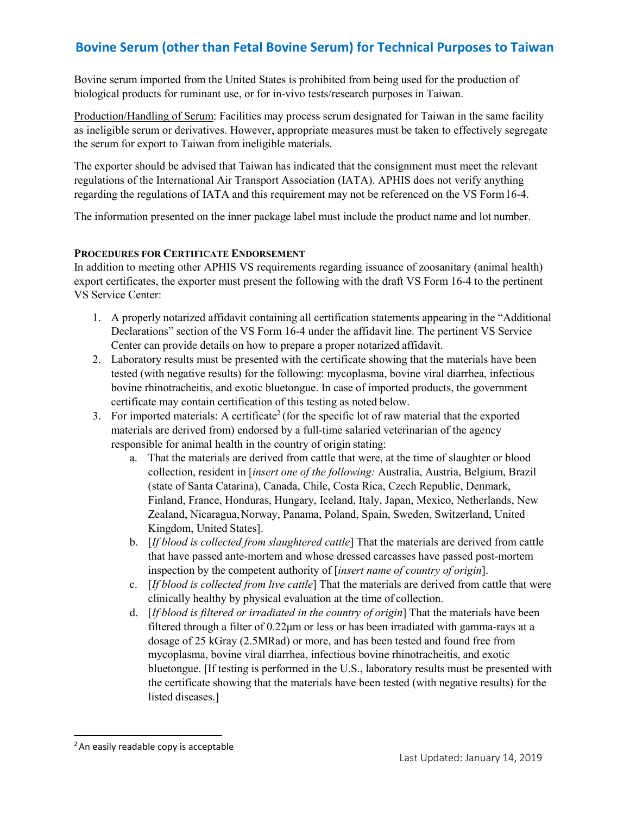# **Bovine Serum (other than Fetal Bovine Serum) for Technical Purposes to Taiwan**

Bovine serum imported from the United States is prohibited from being used for the production of biological products for ruminant use, or for in-vivo tests/research purposes in Taiwan.

Production/Handling of Serum: Facilities may process serum designated for Taiwan in the same facility as ineligible serum or derivatives. However, appropriate measures must be taken to effectively segregate the serum for export to Taiwan from ineligible materials.

The exporter should be advised that Taiwan has indicated that the consignment must meet the relevant regulations of the International Air Transport Association (IATA). APHIS does not verify anything regarding the regulations of IATA and this requirement may not be referenced on the VS Form16-4.

The information presented on the inner package label must include the product name and lot number.

## **PROCEDURES FOR CERTIFICATE ENDORSEMENT**

In addition to meeting other APHIS VS requirements regarding issuance of zoosanitary (animal health) export certificates, the exporter must present the following with the draft VS Form 16-4 to the pertinent VS Service Center:

- 1. A properly notarized affidavit containing all certification statements appearing in the "Additional Declarations" section of the VS Form 16-4 under the affidavit line. The pertinent VS Service Center can provide details on how to prepare a proper notarized affidavit.
- 2. Laboratory results must be presented with the certificate showing that the materials have been tested (with negative results) for the following: mycoplasma, bovine viral diarrhea, infectious bovine rhinotracheitis, and exotic bluetongue. In case of imported products, the government certificate may contain certification of this testing as noted below.
- 3. For imported materials: A certificate<sup>2</sup> (for the specific lot of raw material that the exported materials are derived from) endorsed by a full-time salaried veterinarian of the agency responsible for animal health in the country of origin stating:
	- a. That the materials are derived from cattle that were, at the time of slaughter or blood collection, resident in [*insert one of the following:* Australia, Austria, Belgium, Brazil (state of Santa Catarina), Canada, Chile, Costa Rica, Czech Republic, Denmark, Finland, France, Honduras, Hungary, Iceland, Italy, Japan, Mexico, Netherlands, New Zealand, Nicaragua,Norway, Panama, Poland, Spain, Sweden, Switzerland, United Kingdom, United States].
	- b. [*If blood is collected from slaughtered cattle*] That the materials are derived from cattle that have passed ante-mortem and whose dressed carcasses have passed post-mortem inspection by the competent authority of [*insert name of country of origin*].
	- c. [*If blood is collected from live cattle*] That the materials are derived from cattle that were clinically healthy by physical evaluation at the time of collection.
	- d. [*If blood is filtered or irradiated in the country of origin*] That the materials have been filtered through a filter of 0.22μm or less or has been irradiated with gamma-rays at a dosage of 25 kGray (2.5MRad) or more, and has been tested and found free from mycoplasma, bovine viral diarrhea, infectious bovine rhinotracheitis, and exotic bluetongue. [If testing is performed in the U.S., laboratory results must be presented with the certificate showing that the materials have been tested (with negative results) for the listed diseases.]

<span id="page-1-0"></span><sup>&</sup>lt;sup>2</sup> An easily readable copy is acceptable